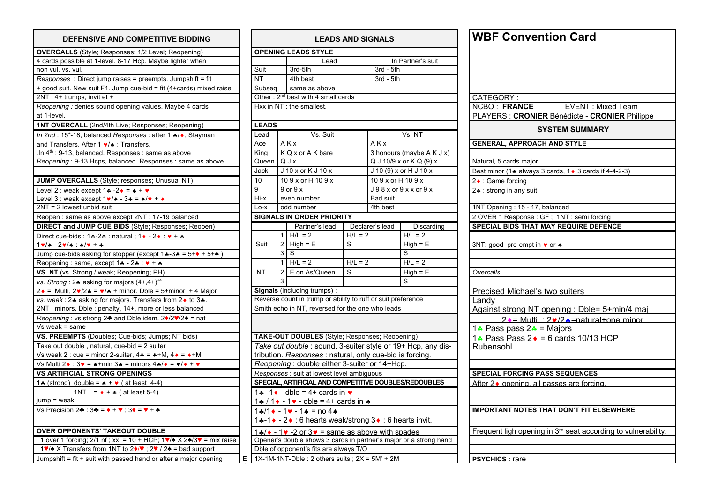| DEFENSIVE AND COMPETITIVE BIDDING                                                                                  | <b>LEADS AND SIGNALS</b> |                                                                   |                                                                   |           |                    |                                                              | <b>WBF Convention Card</b>     |                                                                           |  |
|--------------------------------------------------------------------------------------------------------------------|--------------------------|-------------------------------------------------------------------|-------------------------------------------------------------------|-----------|--------------------|--------------------------------------------------------------|--------------------------------|---------------------------------------------------------------------------|--|
| <b>OVERCALLS</b> (Style; Responses; 1/2 Level; Reopening)                                                          |                          |                                                                   | <b>OPENING LEADS STYLE</b>                                        |           |                    |                                                              |                                |                                                                           |  |
| 4 cards possible at 1-level. 8-17 Hcp. Maybe lighter when                                                          |                          |                                                                   | Lead                                                              |           |                    | In Partner's suit                                            |                                |                                                                           |  |
| non vul. vs. vul.                                                                                                  | Suit                     |                                                                   | 3rd-5th                                                           |           | $3rd - 5th$        |                                                              |                                |                                                                           |  |
| Responses : Direct jump raises = preempts. Jumpshift = fit                                                         | <b>NT</b>                |                                                                   | 4th best                                                          |           | $3rd - 5th$        |                                                              |                                |                                                                           |  |
| + good suit. New suit F1. Jump cue-bid = fit (4+cards) mixed raise                                                 | Subseq                   |                                                                   | same as above                                                     |           |                    |                                                              |                                |                                                                           |  |
| 2NT: 4+ trumps, invit et +                                                                                         |                          |                                                                   | Other: 2 <sup>nd</sup> best with 4 small cards                    |           |                    |                                                              | CATEGORY:                      |                                                                           |  |
| Reopening : denies sound opening values. Maybe 4 cards                                                             |                          |                                                                   | Hxx in NT : the smallest.                                         |           |                    |                                                              | <b>NCBO: FRANCE</b>            | <b>EVENT: Mixed Team</b>                                                  |  |
| at 1-level.                                                                                                        |                          |                                                                   |                                                                   |           |                    |                                                              |                                | PLAYERS : CRONIER Bénédicte - CRONIER Philippe                            |  |
| 1NT OVERCALL (2nd/4th Live; Responses; Reopening)                                                                  | <b>LEADS</b>             |                                                                   |                                                                   |           |                    |                                                              |                                |                                                                           |  |
| In 2nd: 15 <sup>+</sup> -18, balanced Responses: after 1 */*, Stayman                                              | Lead                     |                                                                   | Vs. Suit                                                          |           |                    | Vs. NT                                                       |                                | <b>SYSTEM SUMMARY</b>                                                     |  |
| and Transfers. After 1 $\vee$ / $\bullet$ : Transfers.                                                             | Ace                      |                                                                   | AKx                                                               |           | AKx                |                                                              |                                | <b>GENERAL, APPROACH AND STYLE</b>                                        |  |
| .In $4^{th}$ : 9-13, balanced. Responses : same as above                                                           | King                     |                                                                   | K Q x or A K bare                                                 |           |                    | 3 honours (maybe A K J x)                                    |                                |                                                                           |  |
| Reopening: 9-13 Hcps, balanced. Responses: same as above                                                           | Queen Q J x              |                                                                   |                                                                   |           |                    | $QJ10/9x$ or $KQ(9)x$                                        | Natural, 5 cards major         |                                                                           |  |
|                                                                                                                    | <b>Jack</b>              |                                                                   | J 10 x or K J 10 x                                                |           |                    | J 10 (9) x or H J 10 x                                       |                                | Best minor (1≄ always 3 cards, 1 ♦ 3 cards if 4-4-2-3)                    |  |
| JUMP OVERCALLS (Style; responses; Unusual NT)                                                                      | 10                       |                                                                   | 109 x or H 109 x                                                  |           | 10 9 x or H 10 9 x |                                                              | 2 ♦ : Game forcing             |                                                                           |  |
| Level 2 : weak except $1 - 2 \cdot = 1 + \cdot \cdot$                                                              | 9                        | $J98x$ or $9xx$ or $9x$<br>$9$ or $9x$                            |                                                                   |           |                    | 2. : strong in any suit                                      |                                |                                                                           |  |
| Level 3 : weak except $1 \vee / \triangle$ - $3 \triangleq = \triangle / \triangledown + \triangle$                | Hi-x                     |                                                                   | even number                                                       |           | Bad suit           |                                                              |                                |                                                                           |  |
| $2NT = 2$ lowest unbid suit                                                                                        | Lo-x                     |                                                                   | odd number                                                        |           | 4th best           |                                                              | 1NT Opening: 15 - 17, balanced |                                                                           |  |
| Reopen: same as above except 2NT: 17-19 balanced                                                                   |                          |                                                                   | <b>SIGNALS IN ORDER PRIORITY</b>                                  |           |                    |                                                              |                                | 2 OVER 1 Response: GF; 1NT: semi forcing                                  |  |
| <b>DIRECT and JUMP CUE BIDS</b> (Style; Responses; Reopen)                                                         |                          |                                                                   | Partner's lead                                                    |           | Declarer's lead    | Discarding                                                   |                                | SPECIAL BIDS THAT MAY REQUIRE DEFENCE                                     |  |
| Direct cue-bids : 14-24 : natural ; 1 + - 2 + $\cdot$ + + $\cdot$                                                  |                          |                                                                   | $1$ H/L = 2                                                       | $H/L = 2$ |                    | $H/L = 2$                                                    |                                |                                                                           |  |
| $1 \vee 4 - 2 \vee 4$ : $4/\vee + 4$                                                                               | Suit                     |                                                                   | $2$ High = E                                                      | S         |                    | $High = E$                                                   | 3NT: good pre-empt in v or ▲   |                                                                           |  |
| Jump cue-bids asking for stopper (except $1*-3*=5+\rightarrow+5+\rightarrow$ )                                     |                          | 3                                                                 | $\overline{s}$                                                    |           |                    | s                                                            |                                |                                                                           |  |
| Reopening: same, except 1+ - 2+: v + +                                                                             |                          | $\mathbf{1}$                                                      | $H/L = 2$                                                         | $H/L = 2$ |                    | $H/L = 2$                                                    |                                |                                                                           |  |
| VS. NT (vs. Strong / weak; Reopening; PH)                                                                          | <b>NT</b>                | 2                                                                 | E on As/Queen                                                     | S         |                    | $High = E$                                                   | Overcalls                      |                                                                           |  |
| vs. Strong: $2*$ asking for majors $(4+,4+)$ <sup>+4</sup>                                                         |                          |                                                                   |                                                                   |           |                    | S                                                            |                                |                                                                           |  |
| $2 \cdot =$ Multi, $2 \cdot 2 \cdot = \cdot / \cdot \cdot$ + minor. Dble = 5+minor + 4 Major                       |                          |                                                                   | <b>Signals</b> (including trumps):                                |           |                    |                                                              |                                | <b>Precised Michael's two suiters</b>                                     |  |
| vs. weak : 2.4 asking for majors. Transfers from 2. to 3.4.                                                        |                          |                                                                   | Reverse count in trump or ability to ruff or suit preference      |           |                    |                                                              | Landv                          |                                                                           |  |
| 2NT : minors. Dble : penalty, 14+, more or less balanced                                                           |                          |                                                                   | Smith echo in NT, reversed for the one who leads                  |           |                    |                                                              |                                | Against strong NT opening: Dble= 5+min/4 maj                              |  |
| Reopening : vs strong 2♣ and Dble idem. 2♦/2♥/2♠ = nat                                                             |                          |                                                                   |                                                                   |           |                    |                                                              |                                | $2 \cdot$ = Multi : 2 $\cdot$ /2 $\cdot$ = natural+one minor              |  |
| $Vs$ weak = same                                                                                                   |                          |                                                                   |                                                                   |           |                    |                                                              | 1. Pass pass $2 - $ = Maiors   |                                                                           |  |
| VS. PREEMPTS (Doubles; Cue-bids; Jumps; NT bids)                                                                   |                          |                                                                   | TAKE-OUT DOUBLES (Style; Responses; Reopening)                    |           |                    |                                                              |                                | 1. Pass Pass $2 \cdot = 6$ cards 10/13 HCP                                |  |
| Take out double, natural, cue-bid = 2 suiter                                                                       |                          |                                                                   |                                                                   |           |                    | Take out double : sound, 3-suiter style or 19+ Hcp, any dis- | Rubensohl                      |                                                                           |  |
| Vs weak 2 : cue = minor 2-suiter, $4\cdot = \cdot + M$ , $4 \cdot = \cdot + M$                                     |                          | tribution. Responses : natural, only cue-bid is forcing.          |                                                                   |           |                    |                                                              |                                |                                                                           |  |
| Vs Multi 2 $\cdot$ : 3 $\cdot$ = $\cdot$ +min 3 $\cdot$ = minors 4 $\cdot$ / $\cdot$ = $\cdot$ / $\cdot$ + $\cdot$ |                          | Reopening : double either 3-suiter or 14+Hcp.                     |                                                                   |           |                    |                                                              |                                |                                                                           |  |
| <b>VS ARTIFICIAL STRONG OPENINGS</b>                                                                               |                          | Responses : suit at lowest level ambiguous                        |                                                                   |           |                    |                                                              |                                | <b>SPECIAL FORCING PASS SEQUENCES</b>                                     |  |
| 1. (strong) double = $\bullet$ + $\bullet$ ( at least 4-4)                                                         |                          | SPECIAL, ARTIFICIAL AND COMPETITIVE DOUBLES/REDOUBLES             |                                                                   |           |                    |                                                              |                                | After 2◆ opening, all passes are forcing.                                 |  |
| 1NT = $\bullet + \bullet$ (at least 5-4)                                                                           |                          | 1.4 -1. $\bullet$ - dble = 4+ cards in $\bullet$                  |                                                                   |           |                    |                                                              |                                |                                                                           |  |
| $jump = weak$                                                                                                      |                          |                                                                   | $1$ * / $1 \cdot -1 \cdot -$ dble = 4+ cards in $\cdot$           |           |                    |                                                              |                                |                                                                           |  |
| Vs Precision $2\clubsuit$ : $3\clubsuit = \lozenge + \triangledown$ ; $3\lozenge = \triangledown + \lozenge$       |                          | $1*/1* - 1* - 1* = no 4*$                                         |                                                                   |           |                    |                                                              |                                | <b>IMPORTANT NOTES THAT DON'T FIT ELSEWHERE</b>                           |  |
|                                                                                                                    |                          | 1.4-1 • - 2 • : 6 hearts weak/strong 3 • : 6 hearts invit.        |                                                                   |           |                    |                                                              |                                |                                                                           |  |
| <b>OVER OPPONENTS' TAKEOUT DOUBLE</b>                                                                              |                          |                                                                   | $14/$ - 1 $\bullet$ -2 or 3 $\bullet$ = same as above with spades |           |                    |                                                              |                                | Frequent ligh opening in 3 <sup>rd</sup> seat according to vulnerability. |  |
| 1 over 1 forcing; 2/1 nf; xx = 10 + HCP; $1\overline{v}/\sqrt{2}$ X 2 $\sqrt{2}$ /3 $\overline{v}$ = mix raise     |                          | Opener's double shows 3 cards in partner's major or a strong hand |                                                                   |           |                    |                                                              |                                |                                                                           |  |
| 1V/ $\triangle$ X Transfers from 1NT to 2♦/V; 2V / 2 $\triangle$ = bad support                                     |                          |                                                                   | Dble of opponent's fits are always T/O                            |           |                    |                                                              |                                |                                                                           |  |
| Jumpshift = fit + suit with passed hand or after a major opening                                                   |                          | E 1X-1M-1NT-Dble : 2 others suits ; $2X = 5M' + 2M$               |                                                                   |           |                    |                                                              | <b>PSYCHICS: rare</b>          |                                                                           |  |

| <b>DEFENSIVE AND COMPETITIVE BIDDING</b>                                                                            | <b>LEADS AND SIGNALS</b> |                                                                                                  |          |           |                    |                                                                   | <b>WBF Convention Card</b>                  |                                                              |  |
|---------------------------------------------------------------------------------------------------------------------|--------------------------|--------------------------------------------------------------------------------------------------|----------|-----------|--------------------|-------------------------------------------------------------------|---------------------------------------------|--------------------------------------------------------------|--|
| ALLS (Style; Responses; 1/2 Level; Reopening)                                                                       |                          | <b>OPENING LEADS STYLE</b>                                                                       |          |           |                    |                                                                   |                                             |                                                              |  |
| ossible at 1-level. 8-17 Hcp. Maybe lighter when                                                                    |                          |                                                                                                  | Lead     |           |                    | In Partner's suit                                                 |                                             |                                                              |  |
| vs. vul.                                                                                                            | Suit                     | 3rd-5th                                                                                          |          |           | $3rd - 5th$        |                                                                   |                                             |                                                              |  |
| es: Direct jump raises = preempts. Jumpshift = fit                                                                  | <b>NT</b>                | 4th best                                                                                         |          |           | $3rd - 5th$        |                                                                   |                                             |                                                              |  |
| uit. New suit F1. Jump cue-bid = fit (4+cards) mixed raise                                                          | Subseq                   | same as above                                                                                    |          |           |                    |                                                                   |                                             |                                                              |  |
| trumps, invit et +                                                                                                  |                          | Other: 2 <sup>nd</sup> best with 4 small cards                                                   |          |           |                    |                                                                   | CATEGORY:                                   |                                                              |  |
| ng: denies sound opening values. Maybe 4 cards                                                                      |                          | Hxx in NT : the smallest.                                                                        |          |           |                    |                                                                   | <b>NCBO: FRANCE</b>                         | <b>EVENT: Mixed Tea</b>                                      |  |
|                                                                                                                     |                          |                                                                                                  |          |           |                    |                                                                   |                                             | PLAYERS : CRONIER Bénédicte - CRONIER F                      |  |
| ERCALL (2nd/4th Live; Responses; Reopening)                                                                         | <b>LEADS</b>             |                                                                                                  |          |           |                    |                                                                   |                                             | <b>SYSTEM SUMMARY</b>                                        |  |
| 5 <sup>+</sup> -18, balanced Responses : after 1 +/+, Stayman                                                       | Lead                     |                                                                                                  | Vs. Suit |           |                    | Vs. NT                                                            |                                             |                                                              |  |
| sfers. After 1 v/* : Transfers.                                                                                     | Ace                      | AKx                                                                                              |          |           | AKx                |                                                                   | <b>GENERAL, APPROACH AND STYLE</b>          |                                                              |  |
| -13, balanced. Responses : same as above                                                                            | King                     | K Q x or A K bare                                                                                |          |           |                    | 3 honours (maybe A K J x)                                         |                                             |                                                              |  |
| ng: 9-13 Hcps, balanced. Responses: same as above                                                                   | Queen                    | QJx                                                                                              |          |           |                    | Q J 10/9 x or $KQ(9)$ x                                           | Natural, 5 cards major                      |                                                              |  |
|                                                                                                                     | Jack                     | J 10 x or K J 10 x                                                                               |          |           |                    | J 10 (9) x or H J 10 x                                            |                                             | Best minor (14 always 3 cards, 1 + 3 cards if 4-4-2-3)       |  |
| <b>VERCALLS</b> (Style; responses; Unusual NT)                                                                      | 10                       | 109 x or H 109 x                                                                                 |          |           | 10 9 x or H 10 9 x |                                                                   | $2 \cdot$ : Game forcing                    |                                                              |  |
| weak except $1 \cdot 2 \cdot 5 = 1 \cdot 5$                                                                         | 9                        | $9$ or $9x$                                                                                      |          |           |                    | $J98x$ or $9xx$ or $9x$                                           | 2. strong in any suit                       |                                                              |  |
| weak except $1 \vee / \triangle - 3 \triangle = \triangle / \triangledown + \triangle$                              | Hi-x                     | even number                                                                                      |          |           | <b>Bad suit</b>    |                                                                   |                                             |                                                              |  |
| lowest unbid suit                                                                                                   | Lo-x                     | odd number                                                                                       |          |           | 4th best           |                                                                   | 1NT Opening: 15 - 17, balanced              |                                                              |  |
| same as above except 2NT : 17-19 balanced                                                                           |                          | <b>SIGNALS IN ORDER PRIORITY</b>                                                                 |          |           |                    |                                                                   | 2 OVER 1 Response : GF ; 1NT : semi forcing |                                                              |  |
| and JUMP CUE BIDS (Style; Responses; Reopen)                                                                        |                          | Partner's lead                                                                                   |          |           | Declarer's lead    | Discarding                                                        |                                             | SPECIAL BIDS THAT MAY REQUIRE DEFENCE                        |  |
| e-bids: $14-24$ : natural; $14-24$ : $4+4$                                                                          |                          | $H/L = 2$                                                                                        |          | $H/L = 2$ |                    | $H/L = 2$                                                         |                                             |                                                              |  |
| $\mathbf{v}/\mathbf{A}$ : $\mathbf{A}/\mathbf{v}$ + +                                                               | Suit                     | $2$ High = E                                                                                     |          | S         |                    | $High = E$                                                        | 3NT: good pre-empt in v or ▲                |                                                              |  |
| e-bids asking for stopper (except $1*-3*=5+\rightarrow+5+\rightarrow$ )                                             |                          | 3 <sup>1</sup><br>S                                                                              |          |           |                    | S                                                                 |                                             |                                                              |  |
| $ng: same, except 1 - 2 - 2 - 4$                                                                                    |                          | $H/L = 2$                                                                                        |          | $H/L = 2$ |                    | $H/L = 2$                                                         |                                             |                                                              |  |
| vs. Strong / weak; Reopening; PH)                                                                                   | NT                       | E on As/Queen<br>$\overline{2}$                                                                  |          | S         |                    | $High = E$                                                        | Overcalls                                   |                                                              |  |
| $g: 2$ asking for majors $(4+,4+)^{4}$                                                                              |                          |                                                                                                  |          |           |                    | S                                                                 |                                             |                                                              |  |
| llti, $2\mathbf{v}/2\mathbf{A} = \mathbf{v}/4 + \text{minor}$ . Dble = 5+minor + 4 Major                            |                          | <b>Signals</b> (including trumps):                                                               |          |           |                    |                                                                   | Precised Michael's two suiters              |                                                              |  |
| : 2.4 asking for majors. Transfers from 2.4 to 3.4.                                                                 |                          | Reverse count in trump or ability to ruff or suit preference                                     |          |           |                    |                                                                   | Landv                                       |                                                              |  |
| nors. Dble : penalty, 14+, more or less balanced                                                                    |                          | Smith echo in NT, reversed for the one who leads                                                 |          |           |                    |                                                                   |                                             | Against strong NT opening : Dble= 5+min/4                    |  |
| ng : vs strong 2♣ and Dble idem. 2♦/2♥/2♠ = nat                                                                     |                          |                                                                                                  |          |           |                    |                                                                   |                                             | $2 \cdot =$ Multi : 2v/2 a=natural+one m                     |  |
| $=$ same                                                                                                            |                          |                                                                                                  |          |           |                    |                                                                   | 1. Pass pass $2 - $ = Majors                |                                                              |  |
| EMPTS (Doubles; Cue-bids; Jumps; NT bids)                                                                           |                          | TAKE-OUT DOUBLES (Style; Responses; Reopening)                                                   |          |           |                    |                                                                   | 1. Pass Pass $2 \cdot = 6$ cards 10/13 HCP  |                                                              |  |
| double, natural, cue-bid = 2 suiter                                                                                 |                          | Take out double: sound, 3-suiter style or 19+ Hcp, any dis-                                      |          |           |                    |                                                                   | Rubensohl                                   |                                                              |  |
| 2 : cue = minor 2-suiter, $4 \cdot = \cdot + M$ , $4 \cdot = \cdot + M$                                             |                          | tribution. Responses : natural, only cue-bid is forcing.                                         |          |           |                    |                                                                   |                                             |                                                              |  |
| $2\bullet$ : 3 $\bullet$ = $\bullet$ +min 3 $\bullet$ = minors 4 $\bullet/\bullet$ = $\bullet/\bullet$ + $\bullet$  |                          | Reopening: double either 3-suiter or 14+Hcp.                                                     |          |           |                    |                                                                   |                                             |                                                              |  |
| <b>FICIAL STRONG OPENINGS</b>                                                                                       |                          | Responses : suit at lowest level ambiguous                                                       |          |           |                    |                                                                   | <b>SPECIAL FORCING PASS SEQUENCES</b>       |                                                              |  |
| g) double = $\triangle + \vee$ (at least 4-4)                                                                       |                          | SPECIAL, ARTIFICIAL AND COMPETITIVE DOUBLES/REDOUBLES                                            |          |           |                    | After 2◆ opening, all passes are forcing.                         |                                             |                                                              |  |
| 1NT = $\bullet$ + $\clubsuit$ ( at least 5-4)                                                                       |                          | 1.4 -1.4 - dble = 4+ cards in $\bullet$                                                          |          |           |                    |                                                                   |                                             |                                                              |  |
| eak                                                                                                                 |                          | 1.4 / 1 $\bullet$ - 1 $\bullet$ - dble = 4+ cards in $\bullet$                                   |          |           |                    |                                                                   |                                             |                                                              |  |
| sion 2♣ : 3♣ = ♦ + ♥ : 3♦ = ♥ + ♠                                                                                   |                          | $14/1$ + $-1$ v $-1$ A = no 4 A                                                                  |          |           |                    |                                                                   |                                             | <b>IMPORTANT NOTES THAT DON'T FIT ELSEWHER</b>               |  |
|                                                                                                                     |                          | 14-1 • - 2 • : 6 hearts weak/strong 3 • : 6 hearts invit.                                        |          |           |                    |                                                                   |                                             |                                                              |  |
| <b>PPONENTS' TAKEOUT DOUBLE</b>                                                                                     |                          | $1$ . $\sqrt{\bullet}$ - 1 $\sqrt{\bullet}$ -2 or 3 $\sqrt{\bullet}$ = same as above with spades |          |           |                    |                                                                   |                                             | Frequent ligh opening in 3 <sup>rd</sup> seat according to v |  |
| forcing; 2/1 nf; xx = 10 + HCP; $1\sqrt{4}$ X 2 $\sqrt{3}\sqrt{2}$ = mix raise                                      |                          |                                                                                                  |          |           |                    | Opener's double shows 3 cards in partner's major or a strong hand |                                             |                                                              |  |
| Transfers from 1NT to $2\blacklozenge/\blacktriangledown$ ; $2\blacktriangledown$ / $2\blacktriangle$ = bad support |                          | Dble of opponent's fits are always T/O                                                           |          |           |                    |                                                                   |                                             |                                                              |  |
| t = fit + suit with passed hand or after a major opening                                                            | Е.                       | $1X-1M-1NT-Dble: 2 others suits; 2X = 5M' + 2M$                                                  |          |           |                    |                                                                   | <b>PSYCHICS: rare</b>                       |                                                              |  |

|           | CATEGORY:                                                                            |
|-----------|--------------------------------------------------------------------------------------|
|           | NCBO: FRANCE<br>EVENT : Mixed Team<br>PLAYERS : CRONIER Bénédicte - CRONIER Philippe |
|           |                                                                                      |
|           | <b>SYSTEM SUMMARY</b>                                                                |
|           | <b>GENERAL, APPROACH AND STYLE</b>                                                   |
|           | Natural, 5 cards major                                                               |
|           | Best minor (14 always 3 cards, 1 + 3 cards if 4-4-2-3)                               |
|           | 2 • : Game forcing                                                                   |
|           | 2. strong in any suit                                                                |
|           |                                                                                      |
|           | 1NT Opening: 15 - 17, balanced<br>2 OVER 1 Response: GF; 1NT: semi forcing           |
|           | SPECIAL BIDS THAT MAY REQUIRE DEFENCE                                                |
|           |                                                                                      |
|           | 3NT: good pre-empt in $\bullet$ or $\bullet$                                         |
|           |                                                                                      |
|           |                                                                                      |
| Overcalls |                                                                                      |
|           | Precised Michael's two suiters                                                       |
| Landv     |                                                                                      |
|           | Against strong NT opening : Dble= 5+min/4 maj                                        |
|           | 2 $\bullet$ = Multi : 2 $\bullet$ /2 $\bullet$ = natural+one minor                   |
|           |                                                                                      |
|           | <u>1. Pass pass 2. = Majors</u>                                                      |
|           | 1. Pass Pass $2 \cdot = 6$ cards $10/13$ HCP                                         |
|           |                                                                                      |
|           |                                                                                      |
|           |                                                                                      |
|           | <b>SPECIAL FORCING PASS SEQUENCES</b>                                                |
|           | After 2 • opening, all passes are forcing.                                           |
|           |                                                                                      |
|           | <b>IMPORTANT NOTES THAT DON'T FIT ELSEWHERE</b>                                      |
| Rubensohl | Frequent ligh opening in 3 <sup>rd</sup> seat according to vulnerability.            |